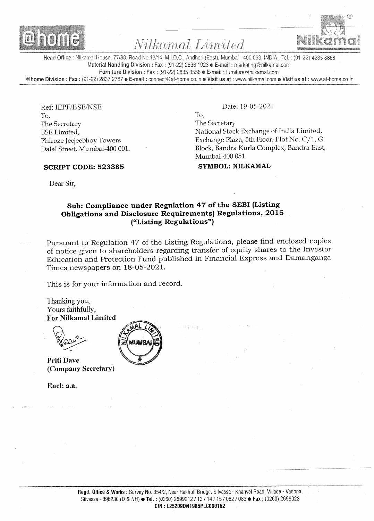

# Nilkamal Limited



Head Office: Nilkamal House, 77/88, Road No.13/14, M.I.D.C., Andheri (East), Mumbai - 400 093, INDIA. Tel.: (91-22) 4235 8888 Material Handling Division : Fax : (91-22) 2836 1923 **E-mail :** marketing@nilkamal.com Furniture Division: Fax: (91-22) 2835 3556 E-mail: furniture@nilkamal.com @home Division: Fax: (91-22) 2837 2787 e E-mail: connect@at-home.co.in e Visit us at: www.nilkamal.com e Visit us at: www.at-home.co.in

Ref: IEPF/BSE/NSE To, The Secretary BSE Limited, Phiroze Jeejeebhoy Towers Dalal Street, Mumbai-400 001.

## SCRIPT CODE: 523385

Date: 19-05-2021

To, The Secretary National Stock Exchange of India Limited, Exchange Plaza, 5th Floor, Plot No. C/1, G Block, Bandra Kurla Complex, Bandra East, Mumbai-400 051.

#### SYMBOL: NILKAMAL

Dear Sir,

# Sub: Compliance under Regulation 47 of the SEBI (Listing Obligations and Disclosure Requirements) Regulations, 2015 ("Listing Regulations")

Pursuant to Regulation 47 of the Listing Regulations, please find enclosed copies of notice given to shareholders regarding transfer of equity shares to the Investor Education and Protection Fund published in Financial Express and Damanganga Times newspapers on 18-05-2021.

This is for your information and record.

Thanking you, Yours faithfully, For Nilkamal Limited

Priti Dave (Company Secretary)

Encl: a.a.

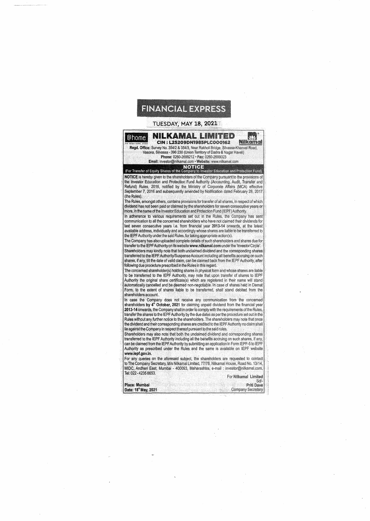

## **TUESDAY, MAY 18, 2021**

**NILKAMAL LIMITED** @home JD. **CIN: L25209DN1985PLC000162 Nilkamal** Regd. Office: Survey No. 354/2 & 354/3, Near Rakholi Bridge, Silvassa-Khanvel Road, Vasona, Silvassa - 396 230 (Union Territory of Dadra & Nagar Haveli) Phone: 0260-2699212 • Fax: 0260-2699023 Email: investor@nilkamal.com · Website: www.nilkamal.com

**NOTICE**<br>(For Transfer of Equity Shares of the Company to Investor Education and Protection Fund)

NOTICE is hereby given to the shareholders of the Company pursuant to the provisions of the Investor Education and Protection Fund Authority (Accounting, Audit, Transfer and Refund) Rules, 2016, notified by the Ministry of Corporate Affairs (MCA) effective September 7, 2016 and subsequently amended by Notification dated February 28, 2017 (the Rules).

The Rules, amongst others, contains provisions for transfer of all shares, in respect of which dividend has not been paid or claimed by the shareholders for seven consecutive years or more, in the name of the Investor Education and Protection Fund (IEPF) Authority.

In adherence to various requirements set out in the Rules, the Company has sent communication to all the concerned shareholders who have not claimed their dividends for last seven consecutive years i.e. from financial year 2013-14 onwards, at the latest available address, individually and accordingly whose shares are liable to be transferred to the IEPF Authority under the said Rules, for taking appropriate action(s).

The Company has also uploaded complete details of such shareholders and shares due for transfer to the IEPF Authority on its website www.nilkamal.com under the 'Investor Circle'. Shareholders may kindly note that both unclaimed dividend and the corresponding shares transferred to the IEPF Authority/Suspense Account including all benefits accruing on such shares, if any, till the date of valid claim, can be claimed back from the IEPF Authority, after following due procedure prescribed in the Rules in this regard.

The concerned shareholder(s) holding shares in physical form and whose shares are liable to be transferred to the IEPF Authority, may note that upon transfer of shares to IEPF<br>Authority the original share certificate(s) which are registered in their name will stand automatically cancelled and be deemed non-negotiable. In case of shares held in Demat Form, to the extent of shares liable to be transferred, shall stand debited from the shareholders account.

In case the Company does not receive any communication from the concerned shareholders by  $4^{\#}$  October, 2021 for claiming unpaid dividend from the financial year 2013-14 onwards, the Company shall in order to comply with the requirements of the Rules,<br>transfer the shares to the IEPF Authority by the due dates as per the procedure set out in the Rules without any further notice to the shareholders. The shareholders may note that once the dividend and their corresponding shares are credited to the IEPF Authority no claim shall lie against the Company in respect thereof pursuant to the said rules.

Shareholders may also note that both the unclaimed dividend and corresponding shares transferred to the IEPF Authority including all the benefits accruing on such shares, if any, can be claimed from the IEPF Authority by submitting an application in Form IEPF-5 to IEPF Authority as prescribed under the Rules and the same is available on IEPF website www.lepf.gov.in.

For any queries on the aforesaid subject, the shareholders are requested to contact to The Company Secretary, M/s Nilkamal Limited, 77/78, Nilkamal House, Road No. 13/14 MIDC, Andheri East, Mumbai - 400093, Maharashtra, e-mail : investor@nilkamal.com, Tel: 022-42358653.

|                   |  | For Nilkamal Limited     |
|-------------------|--|--------------------------|
|                   |  | Sd/-                     |
| ıce: Mumbai       |  | Priti Dave               |
| te: 18" May, 2021 |  | <b>Company Secretary</b> |

Da

Pk